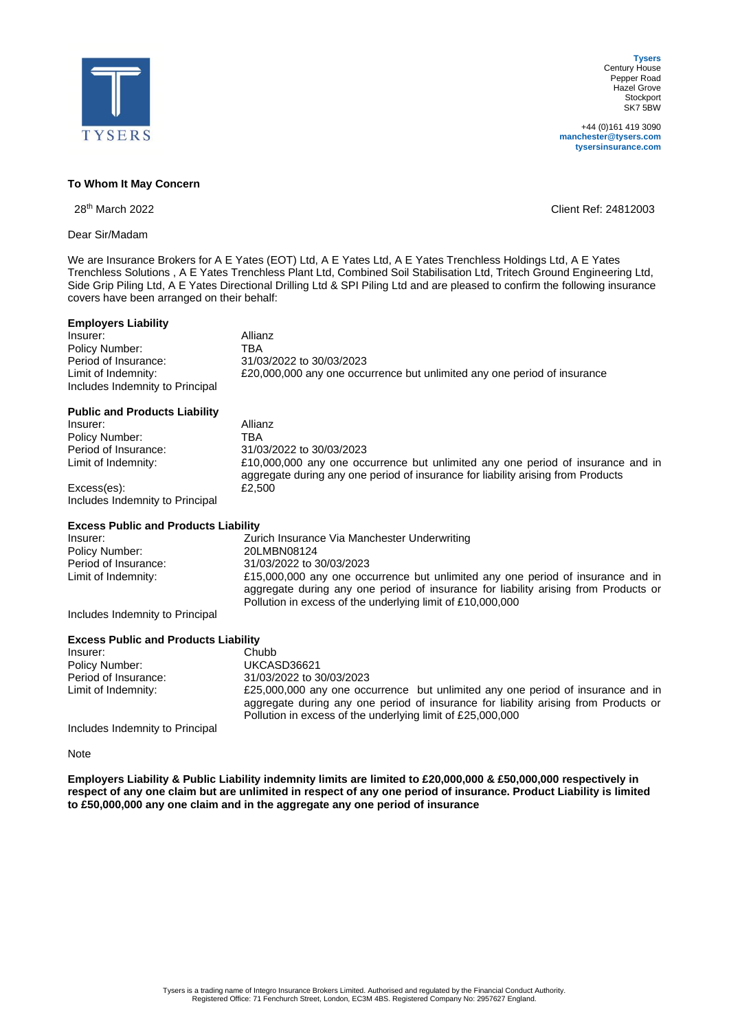

+44 (0)161 419 3090 **manchester@tysers.com tysersinsurance.com**

## **To Whom It May Concern**

28th March 2022 Client Ref: 24812003

Dear Sir/Madam

We are Insurance Brokers for A E Yates (EOT) Ltd, A E Yates Ltd, A E Yates Trenchless Holdings Ltd, A E Yates Trenchless Solutions , A E Yates Trenchless Plant Ltd, Combined Soil Stabilisation Ltd, Tritech Ground Engineering Ltd, Side Grip Piling Ltd, A E Yates Directional Drilling Ltd & SPI Piling Ltd and are pleased to confirm the following insurance covers have been arranged on their behalf:

Period of Insurance: 31/03/2022 to 30/03/2023

## **Employers Liability**

**Insurer:** Allianz<br>
Policy Number: TRA<br>
TRA Policy Number:<br>Period of Insurance: Limit of Indemnity: £20,000,000 any one occurrence but unlimited any one period of insurance Includes Indemnity to Principal

|  | <b>Public and Products Liability</b> |  |
|--|--------------------------------------|--|
|  |                                      |  |

| Insurer:                        | Allianz                                                                                                                                                             |
|---------------------------------|---------------------------------------------------------------------------------------------------------------------------------------------------------------------|
| Policy Number:                  | TBA                                                                                                                                                                 |
| Period of Insurance:            | 31/03/2022 to 30/03/2023                                                                                                                                            |
| Limit of Indemnity:             | £10,000,000 any one occurrence but unlimited any one period of insurance and in<br>aggregate during any one period of insurance for liability arising from Products |
| Excess(es):                     | £2.500                                                                                                                                                              |
| Includes Indemnity to Principal |                                                                                                                                                                     |

## **Excess Public and Products Liability**

| Insurer:                        | Zurich Insurance Via Manchester Underwriting                                        |
|---------------------------------|-------------------------------------------------------------------------------------|
| Policy Number:                  | 20LMBN08124                                                                         |
| Period of Insurance:            | 31/03/2022 to 30/03/2023                                                            |
| Limit of Indemnity:             | £15,000,000 any one occurrence but unlimited any one period of insurance and in     |
|                                 | aggregate during any one period of insurance for liability arising from Products or |
|                                 | Pollution in excess of the underlying limit of £10,000,000                          |
| Ingludes Indomnity to Dringinal |                                                                                     |

Includes Indemnity to Principal

| <b>Excess Public and Products Liability</b> |                                                                                                                                                                                                                                      |
|---------------------------------------------|--------------------------------------------------------------------------------------------------------------------------------------------------------------------------------------------------------------------------------------|
| Insurer:                                    | Chubb                                                                                                                                                                                                                                |
| Policy Number:                              | UKCASD36621                                                                                                                                                                                                                          |
| Period of Insurance:                        | 31/03/2022 to 30/03/2023                                                                                                                                                                                                             |
| Limit of Indemnity:                         | £25,000,000 any one occurrence but unlimited any one period of insurance and in<br>aggregate during any one period of insurance for liability arising from Products or<br>Pollution in excess of the underlying limit of £25,000,000 |
| .                                           |                                                                                                                                                                                                                                      |

Includes Indemnity to Principal

Note

**Employers Liability & Public Liability indemnity limits are limited to £20,000,000 & £50,000,000 respectively in respect of any one claim but are unlimited in respect of any one period of insurance. Product Liability is limited to £50,000,000 any one claim and in the aggregate any one period of insurance**